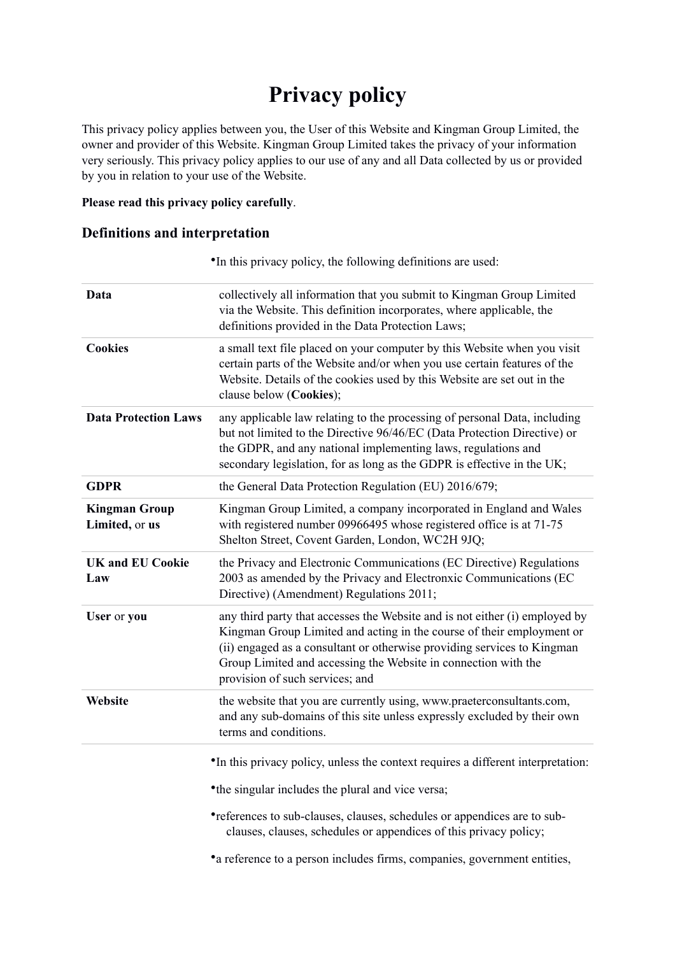# **Privacy policy**

This privacy policy applies between you, the User of this Website and Kingman Group Limited, the owner and provider of this Website. Kingman Group Limited takes the privacy of your information very seriously. This privacy policy applies to our use of any and all Data collected by us or provided by you in relation to your use of the Website.

#### **Please read this privacy policy carefully**.

# **Definitions and interpretation**

•In this privacy policy, the following definitions are used:

| Data                                   | collectively all information that you submit to Kingman Group Limited<br>via the Website. This definition incorporates, where applicable, the<br>definitions provided in the Data Protection Laws;                                                                                                                                   |
|----------------------------------------|--------------------------------------------------------------------------------------------------------------------------------------------------------------------------------------------------------------------------------------------------------------------------------------------------------------------------------------|
| <b>Cookies</b>                         | a small text file placed on your computer by this Website when you visit<br>certain parts of the Website and/or when you use certain features of the<br>Website. Details of the cookies used by this Website are set out in the<br>clause below (Cookies);                                                                           |
| <b>Data Protection Laws</b>            | any applicable law relating to the processing of personal Data, including<br>but not limited to the Directive 96/46/EC (Data Protection Directive) or<br>the GDPR, and any national implementing laws, regulations and<br>secondary legislation, for as long as the GDPR is effective in the UK;                                     |
| <b>GDPR</b>                            | the General Data Protection Regulation (EU) 2016/679;                                                                                                                                                                                                                                                                                |
| <b>Kingman Group</b><br>Limited, or us | Kingman Group Limited, a company incorporated in England and Wales<br>with registered number 09966495 whose registered office is at 71-75<br>Shelton Street, Covent Garden, London, WC2H 9JQ;                                                                                                                                        |
| <b>UK and EU Cookie</b><br>Law         | the Privacy and Electronic Communications (EC Directive) Regulations<br>2003 as amended by the Privacy and Electronxic Communications (EC<br>Directive) (Amendment) Regulations 2011;                                                                                                                                                |
| User or you                            | any third party that accesses the Website and is not either (i) employed by<br>Kingman Group Limited and acting in the course of their employment or<br>(ii) engaged as a consultant or otherwise providing services to Kingman<br>Group Limited and accessing the Website in connection with the<br>provision of such services; and |
| Website                                | the website that you are currently using, www.praeterconsultants.com,<br>and any sub-domains of this site unless expressly excluded by their own<br>terms and conditions.                                                                                                                                                            |
|                                        | •In this privacy policy, unless the context requires a different interpretation:                                                                                                                                                                                                                                                     |
|                                        | • the singular includes the plural and vice versa;                                                                                                                                                                                                                                                                                   |
|                                        | •references to sub-clauses, clauses, schedules or appendices are to sub-<br>clauses, clauses, schedules or appendices of this privacy policy;                                                                                                                                                                                        |
|                                        | •a reference to a person includes firms, companies, government entities,                                                                                                                                                                                                                                                             |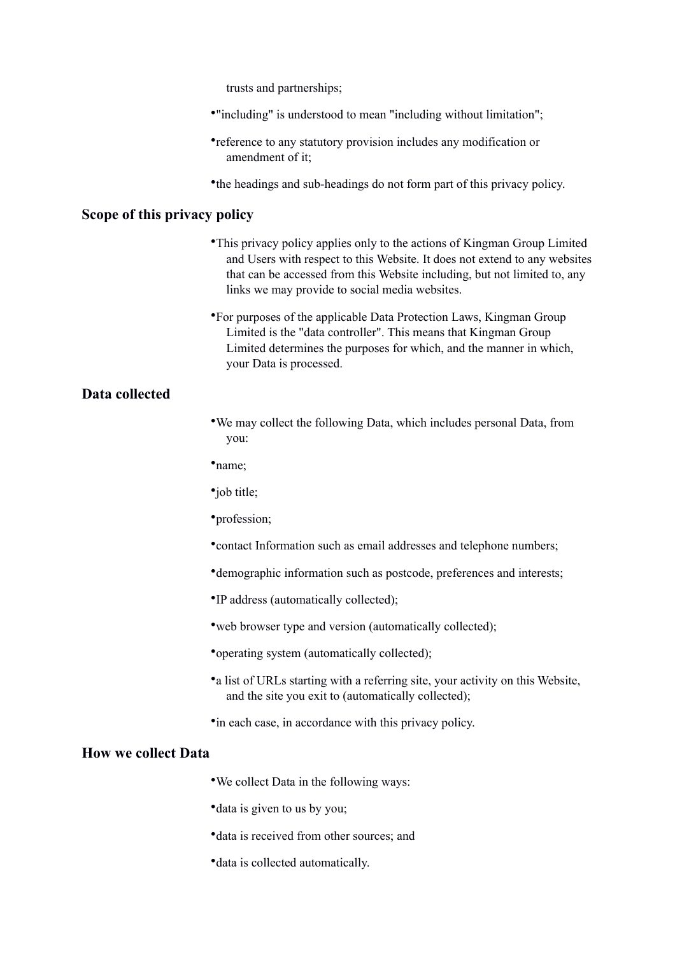trusts and partnerships;

- •"including" is understood to mean "including without limitation";
- •reference to any statutory provision includes any modification or amendment of it;
- •the headings and sub-headings do not form part of this privacy policy.

#### **Scope of this privacy policy**

- •This privacy policy applies only to the actions of Kingman Group Limited and Users with respect to this Website. It does not extend to any websites that can be accessed from this Website including, but not limited to, any links we may provide to social media websites.
- •For purposes of the applicable Data Protection Laws, Kingman Group Limited is the "data controller". This means that Kingman Group Limited determines the purposes for which, and the manner in which, your Data is processed.

# **Data collected**

- •We may collect the following Data, which includes personal Data, from you:
- •name;
- •job title;
- •profession;
- •contact Information such as email addresses and telephone numbers;
- •demographic information such as postcode, preferences and interests;
- •IP address (automatically collected);
- •web browser type and version (automatically collected);
- •operating system (automatically collected);
- •a list of URLs starting with a referring site, your activity on this Website, and the site you exit to (automatically collected);
- •in each case, in accordance with this privacy policy.

## **How we collect Data**

- •We collect Data in the following ways:
- •data is given to us by you;
- •data is received from other sources; and
- •data is collected automatically.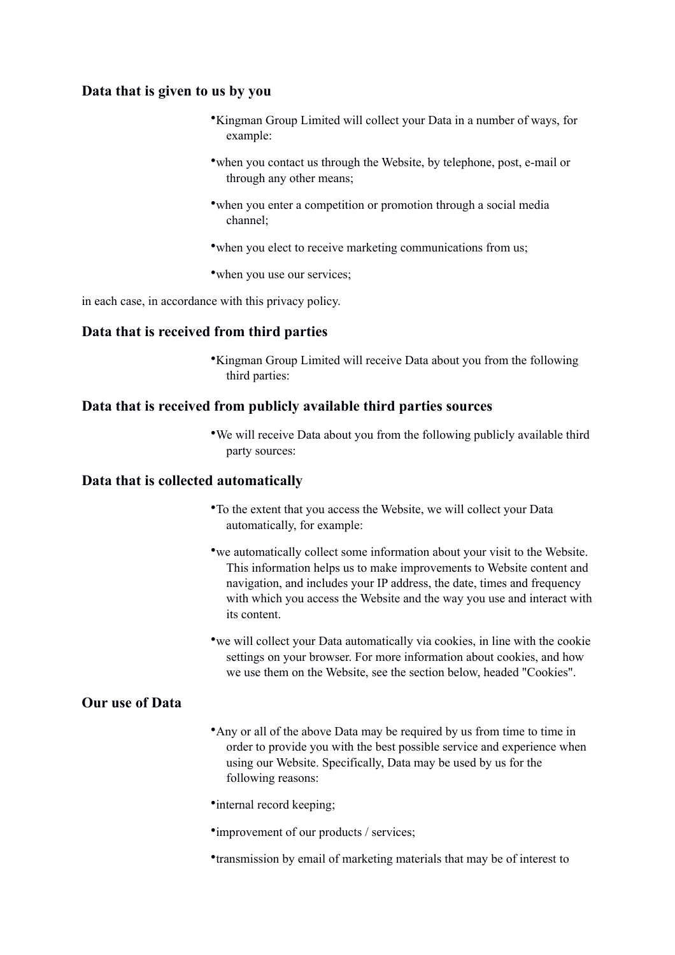## **Data that is given to us by you**

- •Kingman Group Limited will collect your Data in a number of ways, for example:
- •when you contact us through the Website, by telephone, post, e-mail or through any other means;
- •when you enter a competition or promotion through a social media channel;
- •when you elect to receive marketing communications from us;
- •when you use our services;

in each case, in accordance with this privacy policy.

## **Data that is received from third parties**

•Kingman Group Limited will receive Data about you from the following third parties:

## **Data that is received from publicly available third parties sources**

•We will receive Data about you from the following publicly available third party sources:

## **Data that is collected automatically**

- •To the extent that you access the Website, we will collect your Data automatically, for example:
- •we automatically collect some information about your visit to the Website. This information helps us to make improvements to Website content and navigation, and includes your IP address, the date, times and frequency with which you access the Website and the way you use and interact with its content.
- •we will collect your Data automatically via cookies, in line with the cookie settings on your browser. For more information about cookies, and how we use them on the Website, see the section below, headed "Cookies".

# **Our use of Data**

- •Any or all of the above Data may be required by us from time to time in order to provide you with the best possible service and experience when using our Website. Specifically, Data may be used by us for the following reasons:
- •internal record keeping;
- •improvement of our products / services;
- •transmission by email of marketing materials that may be of interest to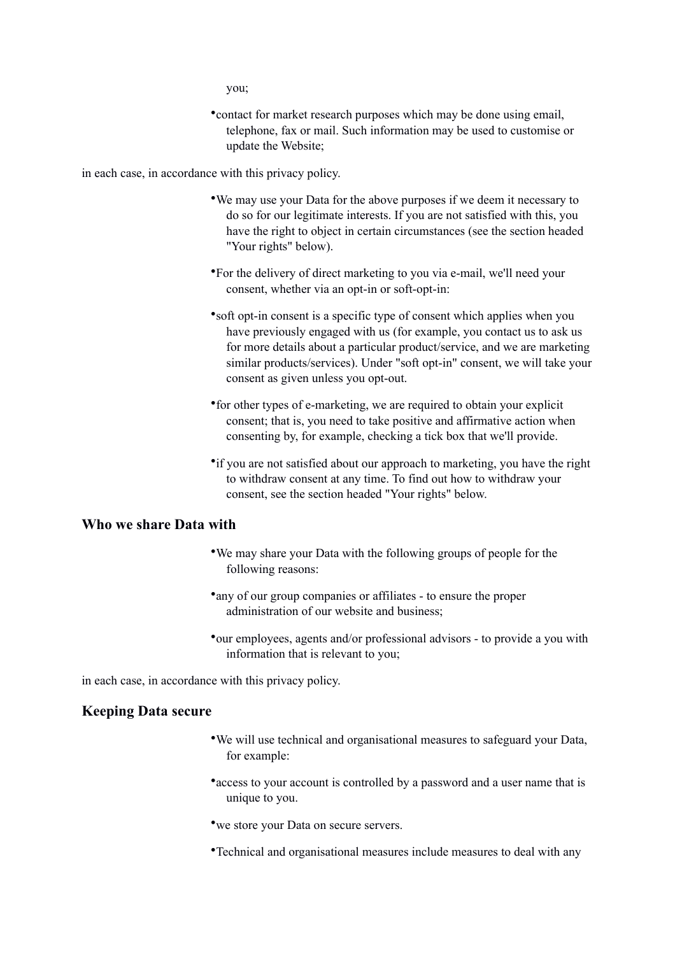you;

•contact for market research purposes which may be done using email, telephone, fax or mail. Such information may be used to customise or update the Website;

in each case, in accordance with this privacy policy.

- •We may use your Data for the above purposes if we deem it necessary to do so for our legitimate interests. If you are not satisfied with this, you have the right to object in certain circumstances (see the section headed "Your rights" below).
- •For the delivery of direct marketing to you via e-mail, we'll need your consent, whether via an opt-in or soft-opt-in:
- •soft opt-in consent is a specific type of consent which applies when you have previously engaged with us (for example, you contact us to ask us for more details about a particular product/service, and we are marketing similar products/services). Under "soft opt-in" consent, we will take your consent as given unless you opt-out.
- •for other types of e-marketing, we are required to obtain your explicit consent; that is, you need to take positive and affirmative action when consenting by, for example, checking a tick box that we'll provide.
- •if you are not satisfied about our approach to marketing, you have the right to withdraw consent at any time. To find out how to withdraw your consent, see the section headed "Your rights" below.

#### **Who we share Data with**

- •We may share your Data with the following groups of people for the following reasons:
- •any of our group companies or affiliates to ensure the proper administration of our website and business;
- •our employees, agents and/or professional advisors to provide a you with information that is relevant to you;

in each case, in accordance with this privacy policy.

#### **Keeping Data secure**

- •We will use technical and organisational measures to safeguard your Data, for example:
- •access to your account is controlled by a password and a user name that is unique to you.

•we store your Data on secure servers.

•Technical and organisational measures include measures to deal with any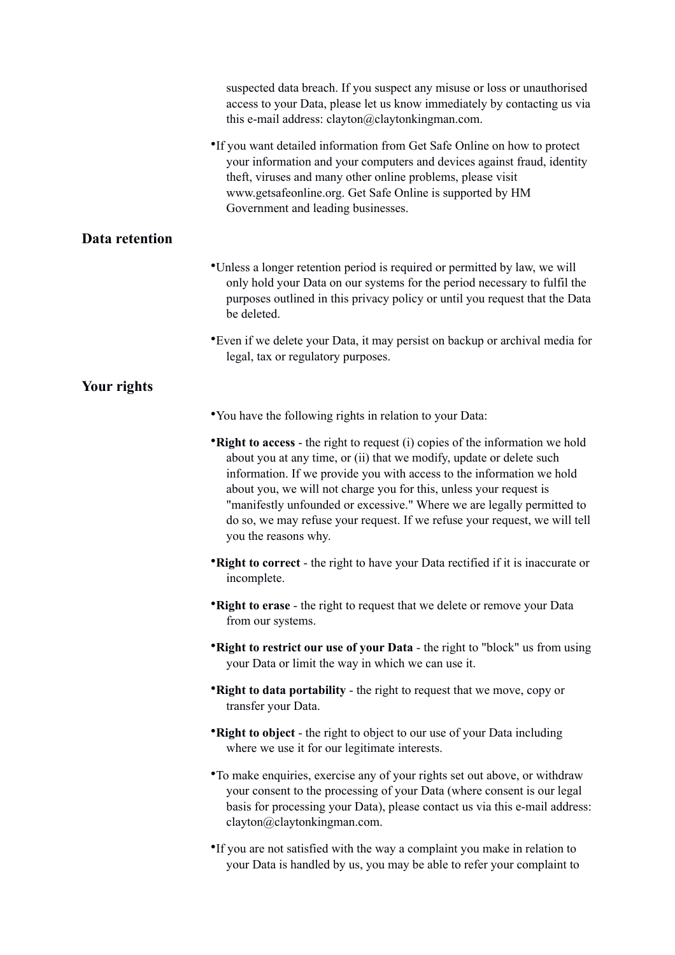|                | suspected data breach. If you suspect any misuse or loss or unauthorised<br>access to your Data, please let us know immediately by contacting us via<br>this e-mail address: clayton@claytonkingman.com.                                                                                                                                                                                                                                                                                     |
|----------------|----------------------------------------------------------------------------------------------------------------------------------------------------------------------------------------------------------------------------------------------------------------------------------------------------------------------------------------------------------------------------------------------------------------------------------------------------------------------------------------------|
|                | "If you want detailed information from Get Safe Online on how to protect<br>your information and your computers and devices against fraud, identity<br>theft, viruses and many other online problems, please visit<br>www.getsafeonline.org. Get Safe Online is supported by HM<br>Government and leading businesses.                                                                                                                                                                        |
| Data retention |                                                                                                                                                                                                                                                                                                                                                                                                                                                                                              |
|                | *Unless a longer retention period is required or permitted by law, we will<br>only hold your Data on our systems for the period necessary to fulfil the<br>purposes outlined in this privacy policy or until you request that the Data<br>be deleted.                                                                                                                                                                                                                                        |
|                | *Even if we delete your Data, it may persist on backup or archival media for<br>legal, tax or regulatory purposes.                                                                                                                                                                                                                                                                                                                                                                           |
| Your rights    |                                                                                                                                                                                                                                                                                                                                                                                                                                                                                              |
|                | "You have the following rights in relation to your Data:                                                                                                                                                                                                                                                                                                                                                                                                                                     |
|                | <b>• Right to access</b> - the right to request (i) copies of the information we hold<br>about you at any time, or (ii) that we modify, update or delete such<br>information. If we provide you with access to the information we hold<br>about you, we will not charge you for this, unless your request is<br>"manifestly unfounded or excessive." Where we are legally permitted to<br>do so, we may refuse your request. If we refuse your request, we will tell<br>you the reasons why. |
|                | <b>• Right to correct</b> - the right to have your Data rectified if it is inaccurate or<br>incomplete.                                                                                                                                                                                                                                                                                                                                                                                      |
|                | <b>*Right to erase</b> - the right to request that we delete or remove your Data<br>from our systems.                                                                                                                                                                                                                                                                                                                                                                                        |
|                | <b>*Right to restrict our use of your Data</b> - the right to "block" us from using<br>your Data or limit the way in which we can use it.                                                                                                                                                                                                                                                                                                                                                    |
|                | <b>• Right to data portability</b> - the right to request that we move, copy or<br>transfer your Data.                                                                                                                                                                                                                                                                                                                                                                                       |
|                | <b>• Right to object</b> - the right to object to our use of your Data including<br>where we use it for our legitimate interests.                                                                                                                                                                                                                                                                                                                                                            |
|                | • To make enquiries, exercise any of your rights set out above, or withdraw<br>your consent to the processing of your Data (where consent is our legal<br>basis for processing your Data), please contact us via this e-mail address:<br>clayton@claytonkingman.com.                                                                                                                                                                                                                         |
|                | •If you are not satisfied with the way a complaint you make in relation to<br>your Data is handled by us, you may be able to refer your complaint to                                                                                                                                                                                                                                                                                                                                         |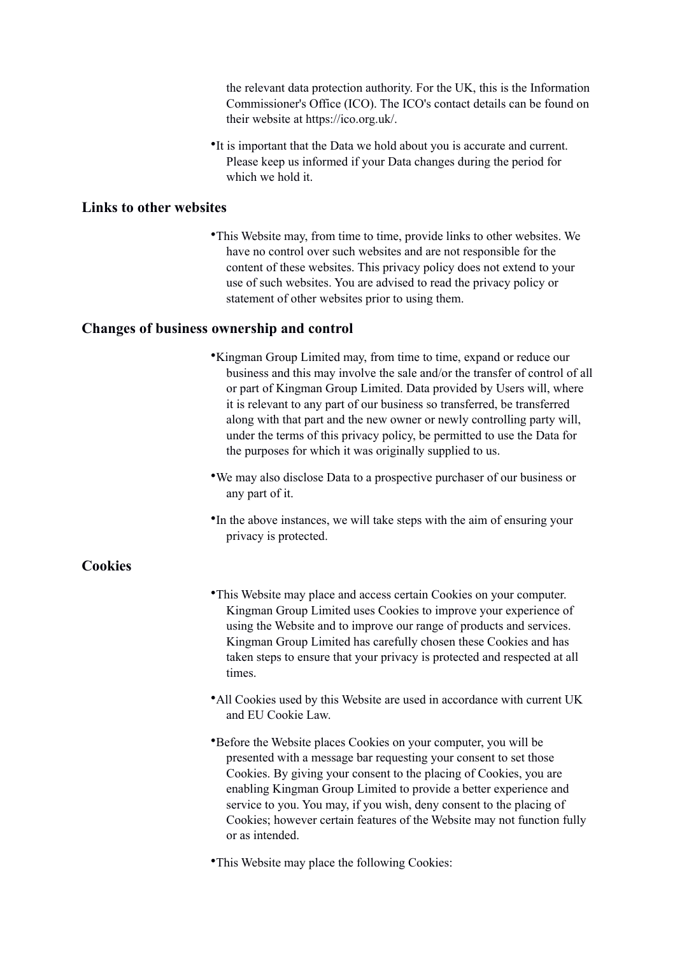the relevant data protection authority. For the UK, this is the Information Commissioner's Office (ICO). The ICO's contact details can be found on their website at https://ico.org.uk/.

•It is important that the Data we hold about you is accurate and current. Please keep us informed if your Data changes during the period for which we hold it.

#### **Links to other websites**

•This Website may, from time to time, provide links to other websites. We have no control over such websites and are not responsible for the content of these websites. This privacy policy does not extend to your use of such websites. You are advised to read the privacy policy or statement of other websites prior to using them.

#### **Changes of business ownership and control**

- •Kingman Group Limited may, from time to time, expand or reduce our business and this may involve the sale and/or the transfer of control of all or part of Kingman Group Limited. Data provided by Users will, where it is relevant to any part of our business so transferred, be transferred along with that part and the new owner or newly controlling party will, under the terms of this privacy policy, be permitted to use the Data for the purposes for which it was originally supplied to us.
- •We may also disclose Data to a prospective purchaser of our business or any part of it.
- •In the above instances, we will take steps with the aim of ensuring your privacy is protected.

## **Cookies**

- •This Website may place and access certain Cookies on your computer. Kingman Group Limited uses Cookies to improve your experience of using the Website and to improve our range of products and services. Kingman Group Limited has carefully chosen these Cookies and has taken steps to ensure that your privacy is protected and respected at all times.
- •All Cookies used by this Website are used in accordance with current UK and EU Cookie Law.
- •Before the Website places Cookies on your computer, you will be presented with a message bar requesting your consent to set those Cookies. By giving your consent to the placing of Cookies, you are enabling Kingman Group Limited to provide a better experience and service to you. You may, if you wish, deny consent to the placing of Cookies; however certain features of the Website may not function fully or as intended.

•This Website may place the following Cookies: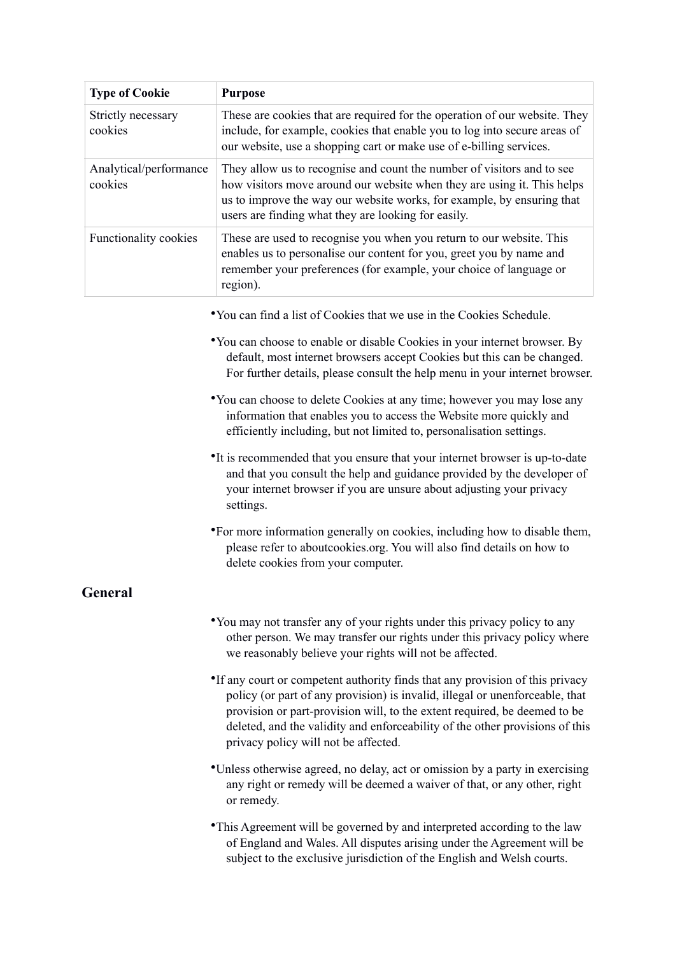| <b>Type of Cookie</b>             | <b>Purpose</b>                                                                                                                                                                                                                                                                                                                                                     |
|-----------------------------------|--------------------------------------------------------------------------------------------------------------------------------------------------------------------------------------------------------------------------------------------------------------------------------------------------------------------------------------------------------------------|
| Strictly necessary<br>cookies     | These are cookies that are required for the operation of our website. They<br>include, for example, cookies that enable you to log into secure areas of<br>our website, use a shopping cart or make use of e-billing services.                                                                                                                                     |
| Analytical/performance<br>cookies | They allow us to recognise and count the number of visitors and to see<br>how visitors move around our website when they are using it. This helps<br>us to improve the way our website works, for example, by ensuring that<br>users are finding what they are looking for easily.                                                                                 |
| Functionality cookies             | These are used to recognise you when you return to our website. This<br>enables us to personalise our content for you, greet you by name and<br>remember your preferences (for example, your choice of language or<br>region).                                                                                                                                     |
|                                   | "You can find a list of Cookies that we use in the Cookies Schedule.                                                                                                                                                                                                                                                                                               |
|                                   | *You can choose to enable or disable Cookies in your internet browser. By<br>default, most internet browsers accept Cookies but this can be changed.<br>For further details, please consult the help menu in your internet browser.                                                                                                                                |
|                                   | "You can choose to delete Cookies at any time; however you may lose any<br>information that enables you to access the Website more quickly and<br>efficiently including, but not limited to, personalisation settings.                                                                                                                                             |
|                                   | •It is recommended that you ensure that your internet browser is up-to-date<br>and that you consult the help and guidance provided by the developer of<br>your internet browser if you are unsure about adjusting your privacy<br>settings.                                                                                                                        |
|                                   | •For more information generally on cookies, including how to disable them,<br>please refer to aboutcookies.org. You will also find details on how to<br>delete cookies from your computer.                                                                                                                                                                         |
| General                           |                                                                                                                                                                                                                                                                                                                                                                    |
|                                   | •You may not transfer any of your rights under this privacy policy to any<br>other person. We may transfer our rights under this privacy policy where<br>we reasonably believe your rights will not be affected.                                                                                                                                                   |
|                                   | •If any court or competent authority finds that any provision of this privacy<br>policy (or part of any provision) is invalid, illegal or unenforceable, that<br>provision or part-provision will, to the extent required, be deemed to be<br>deleted, and the validity and enforceability of the other provisions of this<br>privacy policy will not be affected. |
|                                   | *Unless otherwise agreed, no delay, act or omission by a party in exercising<br>any right or remedy will be deemed a waiver of that, or any other, right<br>or remedy.                                                                                                                                                                                             |
|                                   | • This Agreement will be governed by and interpreted according to the law<br>of England and Wales. All disputes arising under the Agreement will be<br>subject to the exclusive jurisdiction of the English and Welsh courts.                                                                                                                                      |